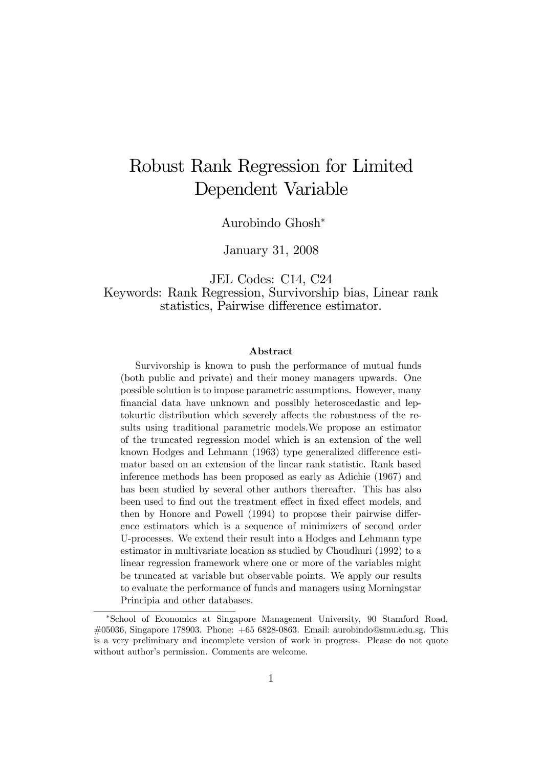# Robust Rank Regression for Limited Dependent Variable

Aurobindo Ghosh

January 31, 2008

JEL Codes: C14, C24 Keywords: Rank Regression, Survivorship bias, Linear rank statistics, Pairwise difference estimator.

#### Abstract

Survivorship is known to push the performance of mutual funds (both public and private) and their money managers upwards. One possible solution is to impose parametric assumptions. However, many financial data have unknown and possibly heteroscedastic and leptokurtic distribution which severely affects the robustness of the results using traditional parametric models.We propose an estimator of the truncated regression model which is an extension of the well known Hodges and Lehmann (1963) type generalized difference estimator based on an extension of the linear rank statistic. Rank based inference methods has been proposed as early as Adichie (1967) and has been studied by several other authors thereafter. This has also been used to find out the treatment effect in fixed effect models, and then by Honore and Powell  $(1994)$  to propose their pairwise difference estimators which is a sequence of minimizers of second order U-processes. We extend their result into a Hodges and Lehmann type estimator in multivariate location as studied by Choudhuri (1992) to a linear regression framework where one or more of the variables might be truncated at variable but observable points. We apply our results to evaluate the performance of funds and managers using Morningstar Principia and other databases.

School of Economics at Singapore Management University, 90 Stamford Road, #05036, Singapore 178903. Phone: +65 6828-0863. Email: aurobindo@smu.edu.sg. This is a very preliminary and incomplete version of work in progress. Please do not quote without author's permission. Comments are welcome.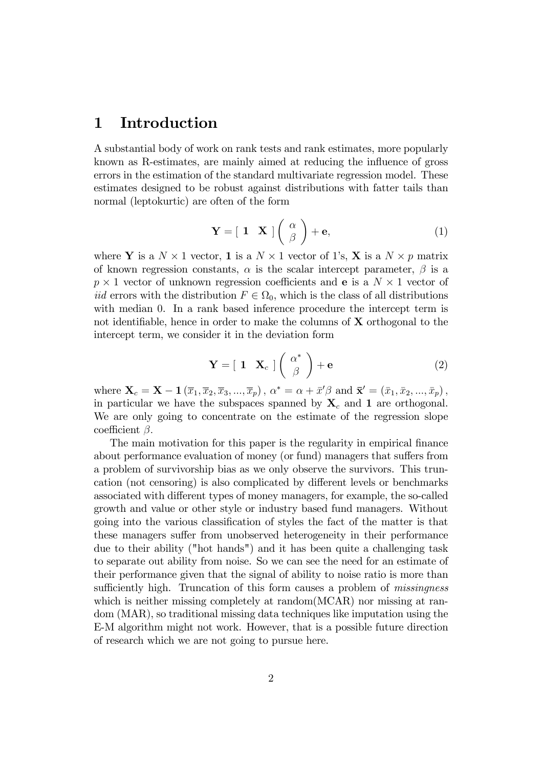### 1 Introduction

A substantial body of work on rank tests and rank estimates, more popularly known as R-estimates, are mainly aimed at reducing the influence of gross errors in the estimation of the standard multivariate regression model. These estimates designed to be robust against distributions with fatter tails than normal (leptokurtic) are often of the form

$$
\mathbf{Y} = \begin{bmatrix} \mathbf{1} & \mathbf{X} \end{bmatrix} \begin{pmatrix} \alpha \\ \beta \end{pmatrix} + \mathbf{e}, \tag{1}
$$

where **Y** is a  $N \times 1$  vector, **1** is a  $N \times 1$  vector of 1's, **X** is a  $N \times p$  matrix of known regression constants,  $\alpha$  is the scalar intercept parameter,  $\beta$  is a  $p \times 1$  vector of unknown regression coefficients and **e** is a  $N \times 1$  vector of *iid* errors with the distribution  $F \in \Omega_0$ , which is the class of all distributions with median 0. In a rank based inference procedure the intercept term is not identifiable, hence in order to make the columns of  $X$  orthogonal to the intercept term, we consider it in the deviation form

$$
\mathbf{Y} = \begin{bmatrix} \mathbf{1} & \mathbf{X}_c \end{bmatrix} \begin{pmatrix} \alpha^* \\ \beta \end{pmatrix} + \mathbf{e} \tag{2}
$$

where  $\mathbf{X}_c = \mathbf{X} - \mathbf{1}\left(\overline{x}_1, \overline{x}_2, \overline{x}_3, ..., \overline{x}_p\right)$ ,  $\alpha^* = \alpha + \overline{x}'\beta$  and  $\overline{\mathbf{x}}' = \left(\overline{x}_1, \overline{x}_2, ..., \overline{x}_p\right)$ , in particular we have the subspaces spanned by  $X_c$  and 1 are orthogonal. We are only going to concentrate on the estimate of the regression slope coefficient  $\beta$ .

The main motivation for this paper is the regularity in empirical finance about performance evaluation of money (or fund) managers that suffers from a problem of survivorship bias as we only observe the survivors. This truncation (not censoring) is also complicated by different levels or benchmarks associated with different types of money managers, for example, the so-called growth and value or other style or industry based fund managers. Without going into the various classification of styles the fact of the matter is that these managers suffer from unobserved heterogeneity in their performance due to their ability ("hot hands") and it has been quite a challenging task to separate out ability from noise. So we can see the need for an estimate of their performance given that the signal of ability to noise ratio is more than sufficiently high. Truncation of this form causes a problem of *missingness* which is neither missing completely at random(MCAR) nor missing at random (MAR), so traditional missing data techniques like imputation using the E-M algorithm might not work. However, that is a possible future direction of research which we are not going to pursue here.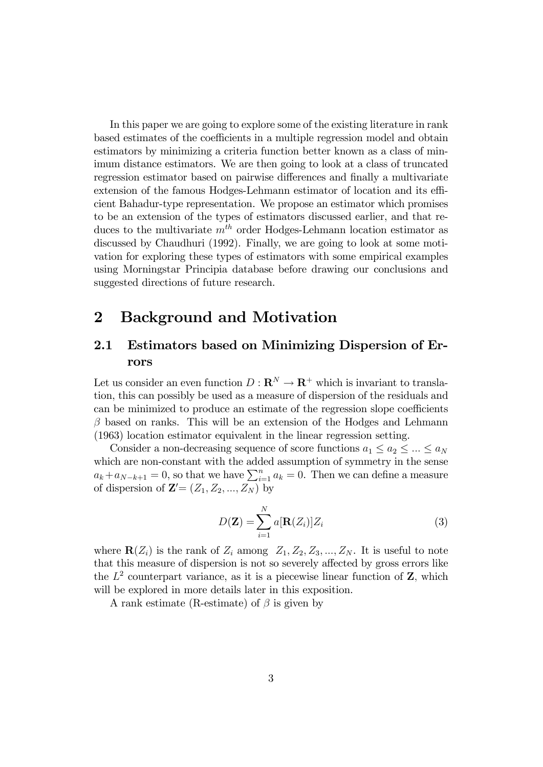In this paper we are going to explore some of the existing literature in rank based estimates of the coefficients in a multiple regression model and obtain estimators by minimizing a criteria function better known as a class of minimum distance estimators. We are then going to look at a class of truncated regression estimator based on pairwise differences and finally a multivariate extension of the famous Hodges-Lehmann estimator of location and its efficient Bahadur-type representation. We propose an estimator which promises to be an extension of the types of estimators discussed earlier, and that reduces to the multivariate  $m<sup>th</sup>$  order Hodges-Lehmann location estimator as discussed by Chaudhuri (1992). Finally, we are going to look at some motivation for exploring these types of estimators with some empirical examples using Morningstar Principia database before drawing our conclusions and suggested directions of future research.

### 2 Background and Motivation

### 2.1 Estimators based on Minimizing Dispersion of Errors

Let us consider an even function  $D: \mathbf{R}^N \to \mathbf{R}^+$  which is invariant to translation, this can possibly be used as a measure of dispersion of the residuals and can be minimized to produce an estimate of the regression slope coefficients  $\beta$  based on ranks. This will be an extension of the Hodges and Lehmann (1963) location estimator equivalent in the linear regression setting.

Consider a non-decreasing sequence of score functions  $a_1 \le a_2 \le ... \le a_N$ which are non-constant with the added assumption of symmetry in the sense  $a_k + a_{N-k+1} = 0$ , so that we have  $\sum_{i=1}^{n} a_k = 0$ . Then we can define a measure of dispersion of  $\mathbf{Z}' = (Z_1, Z_2, ..., Z_N)$  by

$$
D(\mathbf{Z}) = \sum_{i=1}^{N} a[\mathbf{R}(Z_i)]Z_i
$$
\n(3)

where  $\mathbf{R}(Z_i)$  is the rank of  $Z_i$  among  $Z_1, Z_2, Z_3, ..., Z_N$ . It is useful to note that this measure of dispersion is not so severely affected by gross errors like the  $L^2$  counterpart variance, as it is a piecewise linear function of  $\mathbf{Z}$ , which will be explored in more details later in this exposition.

A rank estimate (R-estimate) of  $\beta$  is given by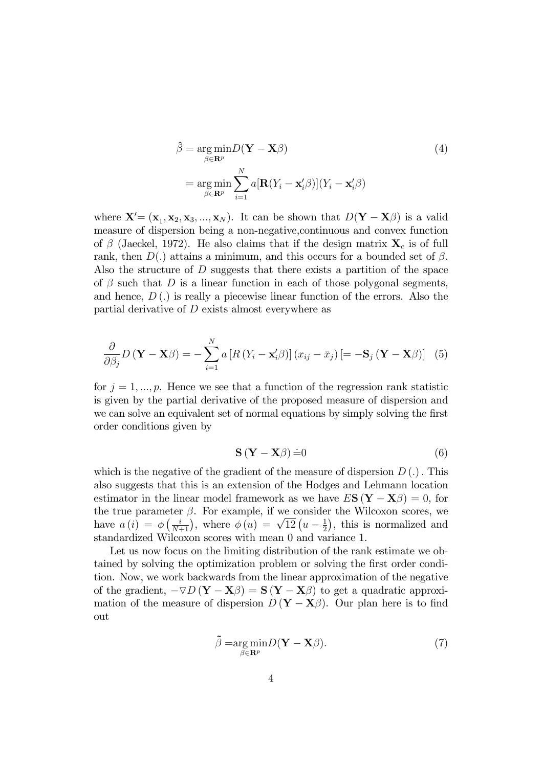$$
\hat{\beta} = \underset{\beta \in \mathbf{R}^p}{\arg \min} D(\mathbf{Y} - \mathbf{X}\beta)
$$
\n
$$
= \underset{\beta \in \mathbf{R}^p}{\arg \min} \sum_{i=1}^N a[\mathbf{R}(Y_i - \mathbf{x}_i'\beta)](Y_i - \mathbf{x}_i'\beta)
$$
\n(4)

where  $\mathbf{X}' = (\mathbf{x}_1, \mathbf{x}_2, \mathbf{x}_3, ..., \mathbf{x}_N)$ . It can be shown that  $D(\mathbf{Y} - \mathbf{X}\beta)$  is a valid measure of dispersion being a non-negative,continuous and convex function of  $\beta$  (Jaeckel, 1972). He also claims that if the design matrix  $\mathbf{X}_c$  is of full rank, then  $D(.)$  attains a minimum, and this occurs for a bounded set of  $\beta$ . Also the structure of D suggests that there exists a partition of the space of  $\beta$  such that D is a linear function in each of those polygonal segments, and hence,  $D(.)$  is really a piecewise linear function of the errors. Also the partial derivative of D exists almost everywhere as

$$
\frac{\partial}{\partial \beta_j} D(\mathbf{Y} - \mathbf{X}\beta) = -\sum_{i=1}^N a \left[ R(Y_i - \mathbf{x}_i'\beta) \right] (x_{ij} - \bar{x}_j) \left[ = -\mathbf{S}_j (\mathbf{Y} - \mathbf{X}\beta) \right] \tag{5}
$$

for  $j = 1, ..., p$ . Hence we see that a function of the regression rank statistic is given by the partial derivative of the proposed measure of dispersion and we can solve an equivalent set of normal equations by simply solving the first order conditions given by

$$
\mathbf{S}\left(\mathbf{Y}-\mathbf{X}\beta\right)\dot{=}0\tag{6}
$$

which is the negative of the gradient of the measure of dispersion  $D(.)$ . This also suggests that this is an extension of the Hodges and Lehmann location estimator in the linear model framework as we have  $E S(Y - X\beta) = 0$ , for the true parameter  $\beta$ . For example, if we consider the Wilcoxon scores, we have  $a(i) = \phi\left(\frac{i}{N+1}\right)$ , where  $\phi(u) = \sqrt{12}\left(u - \frac{1}{2}\right)$  $(\frac{1}{2})$ , this is normalized and standardized Wilcoxon scores with mean 0 and variance 1.

Let us now focus on the limiting distribution of the rank estimate we obtained by solving the optimization problem or solving the first order condition. Now, we work backwards from the linear approximation of the negative of the gradient,  $-\nabla D(Y - X\beta) = S(Y - X\beta)$  to get a quadratic approximation of the measure of dispersion  $D(Y - X_{\beta})$ . Our plan here is to find out

$$
\tilde{\beta} = \underset{\beta \in \mathbb{R}^p}{\arg \min} D(\mathbf{Y} - \mathbf{X}\beta). \tag{7}
$$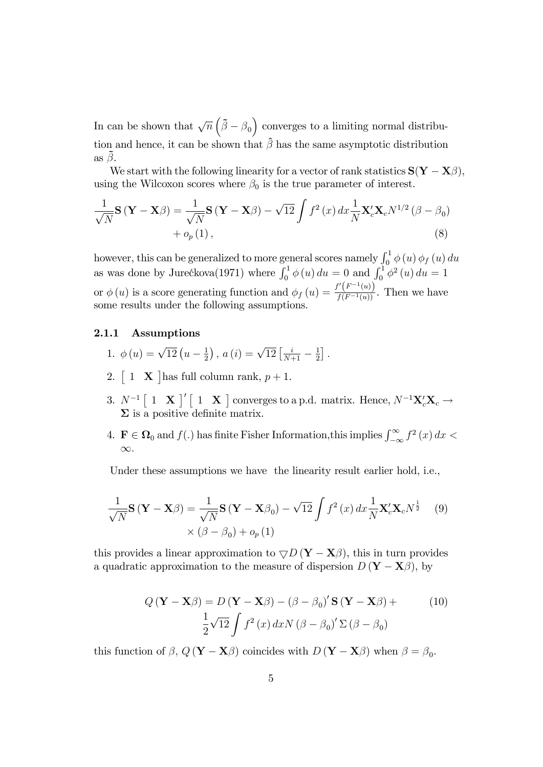In can be shown that  $\sqrt{n}(\tilde{\beta}-\beta_0)$  converges to a limiting normal distribution and hence, it can be shown that  $\hat{\beta}$  has the same asymptotic distribution as  $\beta$ .

We start with the following linearity for a vector of rank statistics  $S(Y - X_{\beta})$ , using the Wilcoxon scores where  $\beta_0$  is the true parameter of interest.

$$
\frac{1}{\sqrt{N}}\mathbf{S}\left(\mathbf{Y}-\mathbf{X}\boldsymbol{\beta}\right) = \frac{1}{\sqrt{N}}\mathbf{S}\left(\mathbf{Y}-\mathbf{X}\boldsymbol{\beta}\right) - \sqrt{12}\int f^{2}\left(x\right)dx\frac{1}{N}\mathbf{X}_{c}'\mathbf{X}_{c}N^{1/2}\left(\boldsymbol{\beta}-\boldsymbol{\beta}_{0}\right) + o_{p}\left(1\right),\tag{8}
$$

however, this can be generalized to more general scores namely  $\int_0^1 \phi(u) \phi_f(u) du$ as was done by Jurećkova(1971) where  $\int_0^1 \phi(u) du = 0$  and  $\int_0^1 \phi^2(u) du = 1$ or  $\phi(u)$  is a score generating function and  $\phi_f(u) = \frac{f'(F^{-1}(u))}{f(F^{-1}(u))}$ . Then we have some results under the following assumptions.

#### 2.1.1 Assumptions

- 1.  $\phi(u) = \sqrt{12} \left( u \frac{1}{2} \right)$  $(\frac{1}{2}), a(i) = \sqrt{12} [\frac{i}{N+1} - \frac{1}{2}]$  $\frac{1}{2}$ .
- 2.  $\begin{bmatrix} 1 & \mathbf{X} \end{bmatrix}$  has full column rank,  $p + 1$ .
- 3.  $N^{-1}$   $\begin{bmatrix} 1 & \mathbf{X} \end{bmatrix}'$   $\begin{bmatrix} 1 & \mathbf{X} \end{bmatrix}$  converges to a p.d. matrix. Hence,  $N^{-1}\mathbf{X}_c'\mathbf{X}_c \rightarrow$  $\Sigma$  is a positive definite matrix.
- 4.  $\mathbf{F} \in \Omega_0$  and  $f(.)$  has finite Fisher Information, this implies  $\int_{-\infty}^{\infty} f^2(x) dx <$  $\infty$ .

Under these assumptions we have the linearity result earlier hold, i.e.,

$$
\frac{1}{\sqrt{N}}\mathbf{S}\left(\mathbf{Y}-\mathbf{X}\boldsymbol{\beta}\right) = \frac{1}{\sqrt{N}}\mathbf{S}\left(\mathbf{Y}-\mathbf{X}\boldsymbol{\beta}_0\right) - \sqrt{12}\int f^2\left(x\right)dx\frac{1}{N}\mathbf{X}_c'\mathbf{X}_cN^{\frac{1}{2}}\tag{9}
$$
\n
$$
\times \left(\boldsymbol{\beta}-\boldsymbol{\beta}_0\right) + o_p\left(1\right)
$$

this provides a linear approximation to  $\nabla D$  (**Y** – **X** $\beta$ ), this in turn provides a quadratic approximation to the measure of dispersion  $D(Y - X_{\beta})$ , by

$$
Q\left(\mathbf{Y} - \mathbf{X}\boldsymbol{\beta}\right) = D\left(\mathbf{Y} - \mathbf{X}\boldsymbol{\beta}\right) - \left(\boldsymbol{\beta} - \boldsymbol{\beta}_0\right)'\mathbf{S}\left(\mathbf{Y} - \mathbf{X}\boldsymbol{\beta}\right) + \frac{1}{2}\sqrt{12}\int f^2\left(x\right)dxN\left(\boldsymbol{\beta} - \boldsymbol{\beta}_0\right)'\Sigma\left(\boldsymbol{\beta} - \boldsymbol{\beta}_0\right)
$$
 (10)

this function of  $\beta$ ,  $Q(\mathbf{Y}-\mathbf{X}\beta)$  coincides with  $D(\mathbf{Y}-\mathbf{X}\beta)$  when  $\beta = \beta_0$ .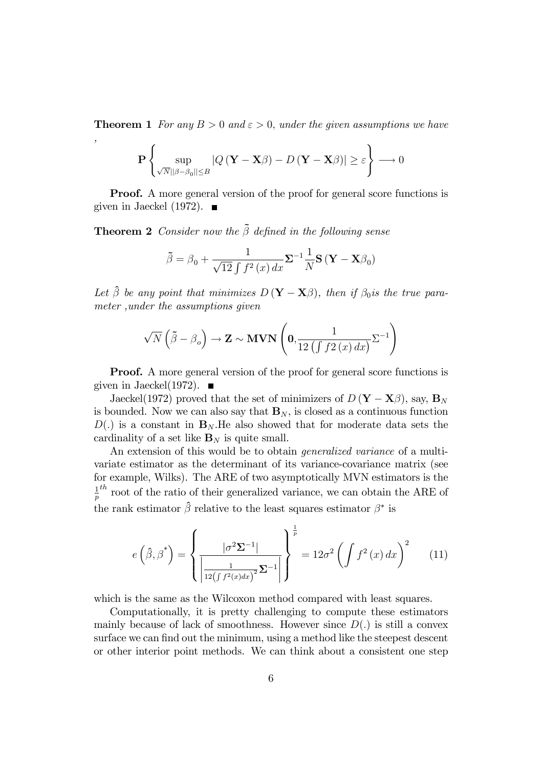**Theorem 1** For any  $B > 0$  and  $\varepsilon > 0$ , under the given assumptions we have

$$
\mathbf{P}\left\{\sup_{\sqrt{N}||\beta-\beta_0||\leq B}|Q(\mathbf{Y}-\mathbf{X}\beta)-D(\mathbf{Y}-\mathbf{X}\beta)|\geq \varepsilon\right\}\longrightarrow 0
$$

**Proof.** A more general version of the proof for general score functions is given in Jaeckel (1972).  $\blacksquare$ 

**Theorem 2** Consider now the  $\tilde{\beta}$  defined in the following sense

,

$$
\tilde{\beta} = \beta_0 + \frac{1}{\sqrt{12} \int f^2(x) dx} \Sigma^{-1} \frac{1}{N} \mathbf{S} (\mathbf{Y} - \mathbf{X} \beta_0)
$$

Let  $\hat{\beta}$  be any point that minimizes  $D(Y - X\beta)$ , then if  $\beta_0$  is the true parameter ,under the assumptions given

$$
\sqrt{N}\left(\tilde{\beta}-\beta_o\right) \to \mathbf{Z} \sim \mathbf{MVN}\left(\mathbf{0}, \frac{1}{12\left(\int f2\left(x\right)dx\right)}\Sigma^{-1}\right)
$$

**Proof.** A more general version of the proof for general score functions is given in Jaeckel(1972).  $\blacksquare$ 

Jaeckel(1972) proved that the set of minimizers of  $D(Y - X_{\beta})$ , say,  $\mathbf{B}_{N}$ is bounded. Now we can also say that  $\mathbf{B}_N$ , is closed as a continuous function  $D(.)$  is a constant in  $\mathbf{B}_N$ . He also showed that for moderate data sets the cardinality of a set like  $\mathbf{B}_N$  is quite small.

An extension of this would be to obtain *generalized variance* of a multivariate estimator as the determinant of its variance-covariance matrix (see for example, Wilks). The ARE of two asymptotically MVN estimators is the 1  $\frac{1}{p}^{th}$  root of the ratio of their generalized variance, we can obtain the ARE of the rank estimator  $\hat{\beta}$  relative to the least squares estimator  $\beta^*$  is

$$
e\left(\hat{\beta},\beta^*\right) = \left\{ \frac{|\sigma^2 \Sigma^{-1}|}{\left|\frac{1}{12\left(\int f^2(x)dx\right)^2} \Sigma^{-1}\right|} \right\}^{\frac{1}{p}} = 12\sigma^2 \left(\int f^2(x) dx\right)^2 \tag{11}
$$

which is the same as the Wilcoxon method compared with least squares.

Computationally, it is pretty challenging to compute these estimators mainly because of lack of smoothness. However since  $D(.)$  is still a convex surface we can find out the minimum, using a method like the steepest descent or other interior point methods. We can think about a consistent one step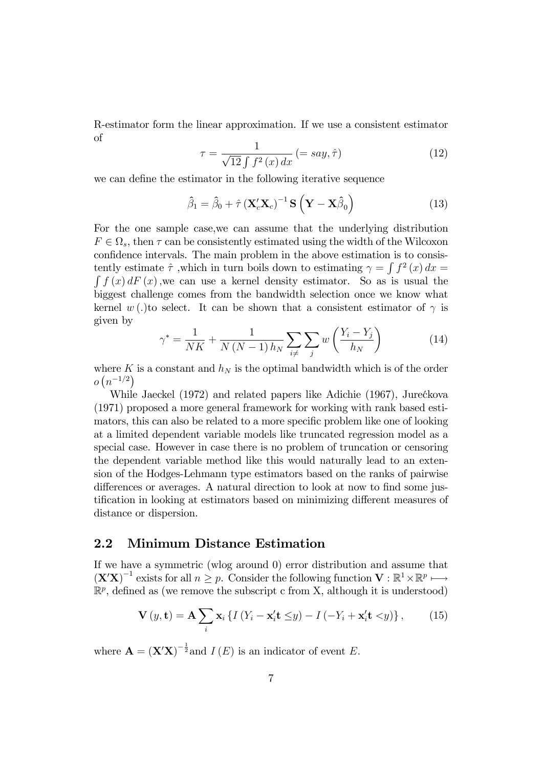R-estimator form the linear approximation. If we use a consistent estimator of

$$
\tau = \frac{1}{\sqrt{12} \int f^2(x) dx} \left( = say, \hat{\tau} \right) \tag{12}
$$

we can define the estimator in the following iterative sequence

$$
\hat{\beta}_1 = \hat{\beta}_0 + \hat{\tau} \left( \mathbf{X}_c' \mathbf{X}_c \right)^{-1} \mathbf{S} \left( \mathbf{Y} - \mathbf{X} \hat{\beta}_0 \right)
$$
(13)

For the one sample case,we can assume that the underlying distribution  $F \in \Omega_s$ , then  $\tau$  can be consistently estimated using the width of the Wilcoxon confidence intervals. The main problem in the above estimation is to consistently estimate  $\hat{\tau}$ , which in turn boils down to estimating  $\gamma = \int f^2(x) dx =$ <br>f  $f(x) dF(x)$ , we can use a kernel density estimator. So as is usual the  $\int f(x) dF(x)$ , we can use a kernel density estimator. So as is usual the biggest challenge comes from the bandwidth selection once we know what kernel w (.)to select. It can be shown that a consistent estimator of  $\gamma$  is given by

$$
\gamma^* = \frac{1}{NK} + \frac{1}{N(N-1)h_N} \sum_{i \neq j} \sum_j w\left(\frac{Y_i - Y_j}{h_N}\right) \tag{14}
$$

where K is a constant and  $h_N$  is the optimal bandwidth which is of the order  $o(n^{-1/2})$ 

While Jaeckel (1972) and related papers like Adichie (1967), Jurećkova (1971) proposed a more general framework for working with rank based estimators, this can also be related to a more specific problem like one of looking at a limited dependent variable models like truncated regression model as a special case. However in case there is no problem of truncation or censoring the dependent variable method like this would naturally lead to an extension of the Hodges-Lehmann type estimators based on the ranks of pairwise differences or averages. A natural direction to look at now to find some justification in looking at estimators based on minimizing different measures of distance or dispersion.

#### 2.2 Minimum Distance Estimation

If we have a symmetric (wlog around 0) error distribution and assume that  $(\mathbf{X}'\mathbf{X})^{-1}$  exists for all  $n \geq p$ . Consider the following function  $\mathbf{V} : \mathbb{R}^1 \times \mathbb{R}^p \longmapsto$  $\mathbb{R}^p$ , defined as (we remove the subscript c from X, although it is understood)

$$
\mathbf{V}(y, \mathbf{t}) = \mathbf{A} \sum_{i} \mathbf{x}_{i} \left\{ I \left( Y_{i} - \mathbf{x}_{i}' \mathbf{t} \leq y \right) - I \left( -Y_{i} + \mathbf{x}_{i}' \mathbf{t} < y \right) \right\},\tag{15}
$$

where  $\mathbf{A} = (\mathbf{X}'\mathbf{X})^{-\frac{1}{2}}$  and  $I(E)$  is an indicator of event E.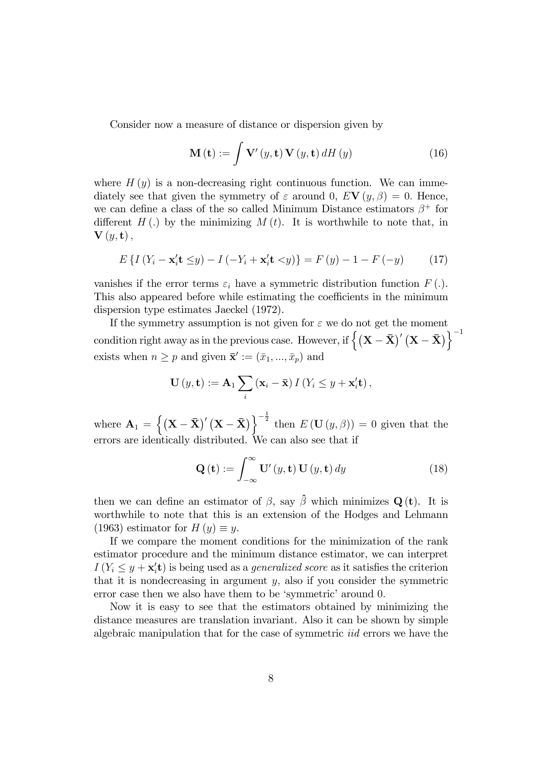Consider now a measure of distance or dispersion given by

$$
\mathbf{M}\left(\mathbf{t}\right) := \int \mathbf{V}'\left(y, \mathbf{t}\right) \mathbf{V}\left(y, \mathbf{t}\right) dH\left(y\right) \tag{16}
$$

where  $H(y)$  is a non-decreasing right continuous function. We can immediately see that given the symmetry of  $\varepsilon$  around 0,  $EV(y,\beta) = 0$ . Hence, we can define a class of the so called Minimum Distance estimators  $\beta^+$  for different  $H(.)$  by the minimizing  $M(t)$ . It is worthwhile to note that, in  $\mathbf{V}\left(y,\mathbf{t}\right),$ 

$$
E\left\{I\left(Y_{i} - \mathbf{x}_{i}'\mathbf{t} \leq y\right) - I\left(-Y_{i} + \mathbf{x}_{i}'\mathbf{t} < y\right)\right\} = F\left(y\right) - 1 - F\left(-y\right) \tag{17}
$$

vanishes if the error terms  $\varepsilon_i$  have a symmetric distribution function  $F(.)$ . This also appeared before while estimating the coefficients in the minimum dispersion type estimates Jaeckel (1972).

If the symmetry assumption is not given for  $\varepsilon$  we do not get the moment condition right away as in the previous case. However, if  $\left\{\left(\mathbf{X}-\bar{\mathbf{X}}\right)'\left(\mathbf{X}-\bar{\mathbf{X}}\right)\right\}^{-1}$ exists when  $n \geq p$  and given  $\bar{\mathbf{x}}' := (\bar{x}_1, ..., \bar{x}_p)$  and

$$
\mathbf{U}(y,\mathbf{t}) := \mathbf{A}_1 \sum_i (\mathbf{x}_i - \overline{\mathbf{x}}) I(Y_i \leq y + \mathbf{x}'_i \mathbf{t}),
$$

where  $\mathbf{A}_1 = \left\{ (\mathbf{X} - \bar{\mathbf{X}})' (\mathbf{X} - \bar{\mathbf{X}}) \right\}^{-\frac{1}{2}}$  then  $E(\mathbf{U}(y, \beta)) = 0$  given that the errors are identically distributed. We can also see that if

$$
\mathbf{Q}\left(\mathbf{t}\right) := \int_{-\infty}^{\infty} \mathbf{U}'\left(y, \mathbf{t}\right) \mathbf{U}\left(y, \mathbf{t}\right) dy \tag{18}
$$

then we can define an estimator of  $\beta$ , say  $\hat{\beta}$  which minimizes Q (t). It is worthwhile to note that this is an extension of the Hodges and Lehmann (1963) estimator for  $H(y) \equiv y$ .

If we compare the moment conditions for the minimization of the rank estimator procedure and the minimum distance estimator, we can interpret  $I(Y_i \leq y + \mathbf{x}'_i \mathbf{t})$  is being used as a *generalized score* as it satisfies the criterion that it is nondecreasing in argument  $y$ , also if you consider the symmetric error case then we also have them to be 'symmetric' around 0.

Now it is easy to see that the estimators obtained by minimizing the distance measures are translation invariant. Also it can be shown by simple algebraic manipulation that for the case of symmetric iid errors we have the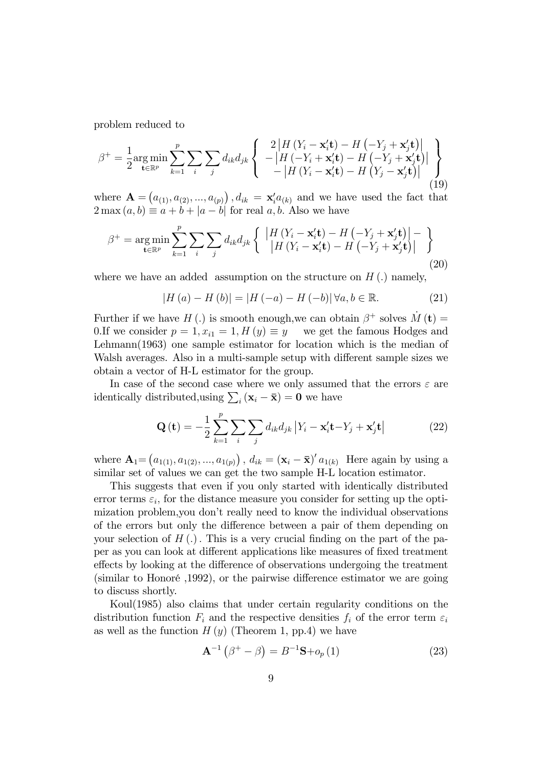problem reduced to

$$
\beta^{+} = \frac{1}{2} \underset{\mathbf{t} \in \mathbb{R}^{p}}{\arg \min} \sum_{k=1}^{p} \sum_{i} \sum_{j} d_{ik} d_{jk} \left\{ \begin{array}{c} 2 \left| H\left( Y_{i} - \mathbf{x}_{i}^{\prime} \mathbf{t} \right) - H\left( -Y_{j} + \mathbf{x}_{j}^{\prime} \mathbf{t} \right) \right| \\ - \left| H\left( -Y_{i} + \mathbf{x}_{i}^{\prime} \mathbf{t} \right) - H\left( -Y_{j} + \mathbf{x}_{j}^{\prime} \mathbf{t} \right) \right| \\ - \left| H\left( Y_{i} - \mathbf{x}_{i}^{\prime} \mathbf{t} \right) - H\left( Y_{j} - \mathbf{x}_{j}^{\prime} \mathbf{t} \right) \right| \end{array} \right\} \tag{19}
$$

where  $\mathbf{A} = (a_{(1)}, a_{(2)}, ..., a_{(p)})$ ,  $d_{ik} = \mathbf{x}'_i a_{(k)}$  and we have used the fact that  $2 \max(a, b) \equiv a + b + |a - b|$  for real a, b. Also we have

$$
\beta^{+} = \underset{\mathbf{t} \in \mathbb{R}^{p}}{\arg \min} \sum_{k=1}^{p} \sum_{i} \sum_{j} d_{ik} d_{jk} \left\{ \begin{array}{l} \left| H\left(Y_{i} - \mathbf{x}_{i}^{\prime} \mathbf{t}\right) - H\left(-Y_{j} + \mathbf{x}_{j}^{\prime} \mathbf{t}\right) \right| - \\ \left| H\left(Y_{i} - \mathbf{x}_{i}^{\prime} \mathbf{t}\right) - H\left(-Y_{j} + \mathbf{x}_{j}^{\prime} \mathbf{t}\right) \right| \end{array} \right\} \tag{20}
$$

where we have an added assumption on the structure on  $H(.)$  namely,

$$
|H(a) - H(b)| = |H(-a) - H(-b)| \forall a, b \in \mathbb{R}.
$$
 (21)

Further if we have H(.) is smooth enough, we can obtain  $\beta^+$  solves  $\dot{M} (\mathbf{t}) =$ 0.If we consider  $p = 1, x_{i1} = 1, H(y) \equiv y$  we get the famous Hodges and Lehmann(1963) one sample estimator for location which is the median of Walsh averages. Also in a multi-sample setup with different sample sizes we obtain a vector of H-L estimator for the group.

In case of the second case where we only assumed that the errors  $\varepsilon$  are identically distributed, using  $\sum_i (\mathbf{x}_i - \bar{\mathbf{x}}) = \mathbf{0}$  we have

$$
\mathbf{Q}\left(\mathbf{t}\right) = -\frac{1}{2} \sum_{k=1}^{p} \sum_{i} \sum_{j} d_{ik} d_{jk} \left| Y_i - \mathbf{x}_i' \mathbf{t} - Y_j + \mathbf{x}_j' \mathbf{t} \right| \tag{22}
$$

where  $\mathbf{A}_1 = (a_{1(1)}, a_{1(2)}, ..., a_{1(p)})$ ,  $d_{ik} = (\mathbf{x}_i - \bar{\mathbf{x}})' a_{1(k)}$  Here again by using a similar set of values we can get the two sample H-L location estimator.

This suggests that even if you only started with identically distributed error terms  $\varepsilon_i$ , for the distance measure you consider for setting up the optimization problem, you don't really need to know the individual observations of the errors but only the difference between a pair of them depending on your selection of  $H(.)$ . This is a very crucial finding on the part of the paper as you can look at different applications like measures of fixed treatment effects by looking at the difference of observations undergoing the treatment  $(\text{similar to Honoré}, 1992)$ , or the pairwise difference estimator we are going to discuss shortly.

Koul(1985) also claims that under certain regularity conditions on the distribution function  $F_i$  and the respective densities  $f_i$  of the error term  $\varepsilon_i$ as well as the function  $H(y)$  (Theorem 1, pp.4) we have

$$
\mathbf{A}^{-1}\left(\beta^{+}-\beta\right) = B^{-1}\mathbf{S} + o_{p}\left(1\right) \tag{23}
$$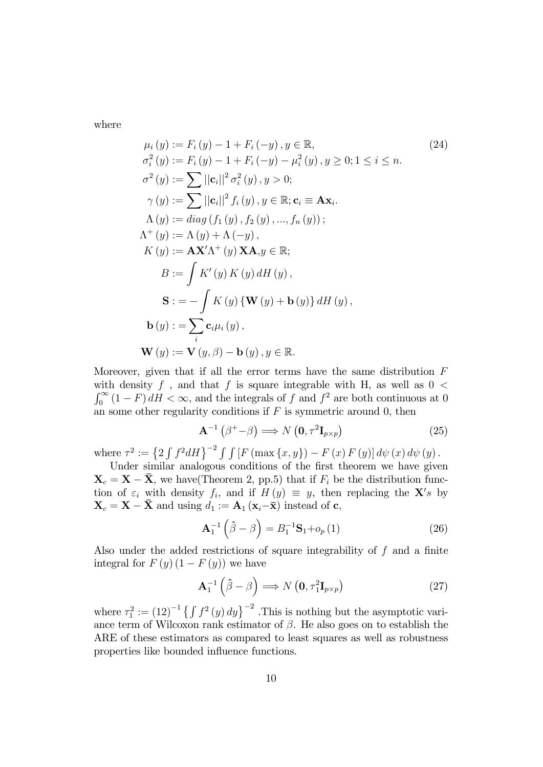where

$$
\mu_{i}(y) := F_{i}(y) - 1 + F_{i}(-y), y \in \mathbb{R},
$$
\n
$$
\sigma_{i}^{2}(y) := F_{i}(y) - 1 + F_{i}(-y) - \mu_{i}^{2}(y), y \ge 0; 1 \le i \le n.
$$
\n
$$
\sigma^{2}(y) := \sum ||c_{i}||^{2} \sigma_{i}^{2}(y), y > 0;
$$
\n
$$
\gamma(y) := \sum ||c_{i}||^{2} f_{i}(y), y \in \mathbb{R}; c_{i} \equiv \mathbf{A}x_{i}.
$$
\n
$$
\Lambda(y) := diag(f_{1}(y), f_{2}(y), ..., f_{n}(y));
$$
\n
$$
\Lambda^{+}(y) := \Lambda(y) + \Lambda(-y),
$$
\n
$$
K(y) := \mathbf{A}X'\Lambda^{+}(y) \mathbf{X} \mathbf{A}, y \in \mathbb{R};
$$
\n
$$
B := \int K'(y) K(y) dH(y),
$$
\n
$$
\mathbf{S} := -\int K(y) \{ \mathbf{W}(y) + \mathbf{b}(y) \} dH(y),
$$
\n
$$
\mathbf{b}(y) := \sum_{i} c_{i} \mu_{i}(y),
$$
\n
$$
\mathbf{W}(y) := \mathbf{V}(y, \beta) - \mathbf{b}(y), y \in \mathbb{R}.
$$
\n(24)

Moreover, given that if all the error terms have the same distribution  $F$ with density f, and that f is square integrable with H, as well as  $0 <$  $\int_0^\infty (1 - F) dH < \infty$ , and the integrals of f and  $f^2$  are both continuous at 0 an some other regularity conditions if  $F$  is symmetric around 0, then

$$
\mathbf{A}^{-1} \left( \beta^+ - \beta \right) \Longrightarrow N \left( \mathbf{0}, \tau^2 \mathbf{I}_{p \times p} \right) \tag{25}
$$

where  $\tau^2 := \left\{2 \int f^2 dH\right\}^{-2} \int \int \left[F\left(\max\left\{x,y\right\}\right) - F\left(x\right) F\left(y\right)\right] d\psi\left(x\right) d\psi\left(y\right).$ 

Under similar analogous conditions of the first theorem we have given  $\mathbf{X}_c = \mathbf{X} - \bar{\mathbf{X}}$ , we have (Theorem 2, pp.5) that if  $F_i$  be the distribution function of  $\varepsilon_i$  with density  $f_i$ , and if  $H(y) \equiv y$ , then replacing the  $\mathbf{X}'s$  by  $\mathbf{X}_c = \mathbf{X} - \mathbf{\bar{X}}$  and using  $d_1 := \mathbf{A}_1 (\mathbf{x}_i - \mathbf{\bar{x}})$  instead of **c**,

$$
\mathbf{A}_{1}^{-1}\left(\hat{\beta}-\beta\right)=B_{1}^{-1}\mathbf{S}_{1}+o_{p}\left(1\right)
$$
\n(26)

Also under the added restrictions of square integrability of  $f$  and a finite integral for  $F(y)$   $(1 - F(y))$  we have

$$
\mathbf{A}_1^{-1}\left(\hat{\beta} - \beta\right) \Longrightarrow N\left(\mathbf{0}, \tau_1^2 \mathbf{I}_{p \times p}\right) \tag{27}
$$

where  $\tau_1^2 := (12)^{-1} \left\{ \int f^2(y) \, dy \right\}^{-2}$ . This is nothing but the asymptotic variance term of Wilcoxon rank estimator of  $\beta$ . He also goes on to establish the ARE of these estimators as compared to least squares as well as robustness properties like bounded influence functions.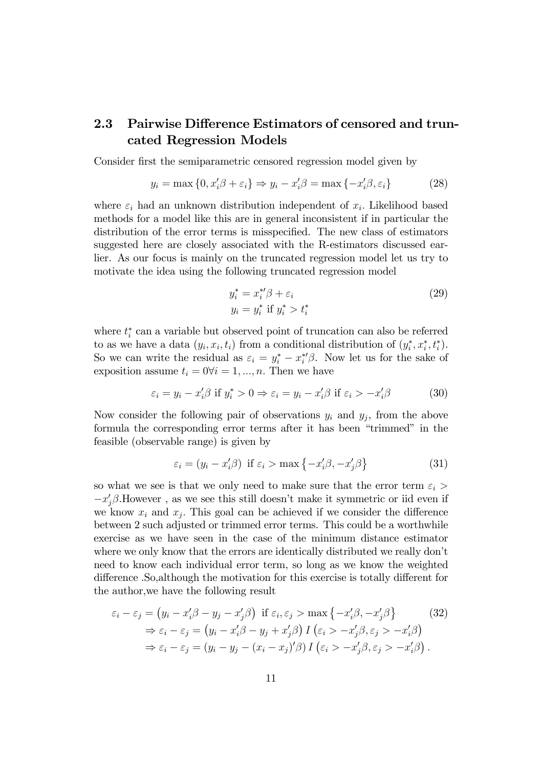### 2.3 Pairwise Difference Estimators of censored and truncated Regression Models

Consider first the semiparametric censored regression model given by

$$
y_i = \max\{0, x_i'\beta + \varepsilon_i\} \Rightarrow y_i - x_i'\beta = \max\{-x_i'\beta, \varepsilon_i\}
$$
 (28)

where  $\varepsilon_i$  had an unknown distribution independent of  $x_i$ . Likelihood based methods for a model like this are in general inconsistent if in particular the distribution of the error terms is misspecified. The new class of estimators suggested here are closely associated with the R-estimators discussed earlier. As our focus is mainly on the truncated regression model let us try to motivate the idea using the following truncated regression model

$$
y_i^* = x_i^{*\prime} \beta + \varepsilon_i
$$
  
\n
$$
y_i = y_i^* \text{ if } y_i^* > t_i^*
$$
\n(29)

where  $t_i^*$  can a variable but observed point of truncation can also be referred to as we have a data  $(y_i, x_i, t_i)$  from a conditional distribution of  $(y_i^*, x_i^*, t_i^*)$ . So we can write the residual as  $\varepsilon_i = y_i^* - x_i^{*\prime} \beta$ . Now let us for the sake of exposition assume  $t_i = 0 \forall i = 1, ..., n$ . Then we have

$$
\varepsilon_i = y_i - x_i' \beta \text{ if } y_i^* > 0 \Rightarrow \varepsilon_i = y_i - x_i' \beta \text{ if } \varepsilon_i > -x_i' \beta \tag{30}
$$

Now consider the following pair of observations  $y_i$  and  $y_j$ , from the above formula the corresponding error terms after it has been "trimmed" in the feasible (observable range) is given by

$$
\varepsilon_i = (y_i - x_i'\beta) \text{ if } \varepsilon_i > \max\{-x_i'\beta, -x_j'\beta\}
$$
 (31)

so what we see is that we only need to make sure that the error term  $\varepsilon_i$  $-x'_j\beta$ . However, as we see this still doesn't make it symmetric or iid even if we know  $x_i$  and  $x_j$ . This goal can be achieved if we consider the difference between 2 such adjusted or trimmed error terms. This could be a worthwhile exercise as we have seen in the case of the minimum distance estimator where we only know that the errors are identically distributed we really don't need to know each individual error term, so long as we know the weighted difference . So, although the motivation for this exercise is totally different for the author,we have the following result

$$
\varepsilon_{i} - \varepsilon_{j} = (y_{i} - x'_{i}\beta - y_{j} - x'_{j}\beta) \text{ if } \varepsilon_{i}, \varepsilon_{j} > \max\{-x'_{i}\beta, -x'_{j}\beta\}
$$
(32)  
\n
$$
\Rightarrow \varepsilon_{i} - \varepsilon_{j} = (y_{i} - x'_{i}\beta - y_{j} + x'_{j}\beta) I(\varepsilon_{i} > -x'_{j}\beta, \varepsilon_{j} > -x'_{i}\beta)
$$
  
\n
$$
\Rightarrow \varepsilon_{i} - \varepsilon_{j} = (y_{i} - y_{j} - (x_{i} - x_{j})'\beta) I(\varepsilon_{i} > -x'_{j}\beta, \varepsilon_{j} > -x'_{i}\beta).
$$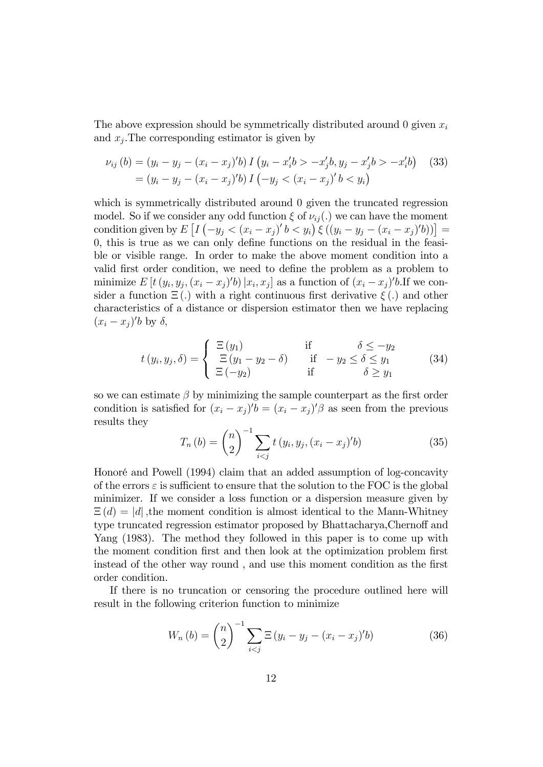The above expression should be symmetrically distributed around 0 given  $x_i$ and  $x_j$ . The corresponding estimator is given by

$$
\nu_{ij}(b) = (y_i - y_j - (x_i - x_j)'b) I(y_i - x_i'b > -x_j'b, y_j - x_j'b > -x_i'b) \tag{33}
$$
\n
$$
= (y_i - y_j - (x_i - x_j)'b) I(-y_j < (x_i - x_j)'b < y_i)
$$

which is symmetrically distributed around 0 given the truncated regression model. So if we consider any odd function  $\xi$  of  $\nu_{ij}$ . we can have the moment condition given by  $E\left[I\left(-y_j < (x_i - x_j)'b < y_i\right)\xi\left((y_i - y_j - (x_i - x_j)'b)\right)\right] =$  $0,$  this is true as we can only define functions on the residual in the feasible or visible range. In order to make the above moment condition into a valid first order condition, we need to define the problem as a problem to minimize  $E[t(y_i, y_j, (x_i - x_j)'b) | x_i, x_j]$  as a function of  $(x_i - x_j)'b$ . If we consider a function  $\Xi(.)$  with a right continuous first derivative  $\xi(.)$  and other characteristics of a distance or dispersion estimator then we have replacing  $(x_i - x_j)'b$  by  $\delta$ ,

$$
t(y_i, y_j, \delta) = \begin{cases} \Xi(y_1) & \text{if } \delta \le -y_2\\ \Xi(y_1 - y_2 - \delta) & \text{if } -y_2 \le \delta \le y_1\\ \Xi(-y_2) & \text{if } \delta \ge y_1 \end{cases}
$$
 (34)

so we can estimate  $\beta$  by minimizing the sample counterpart as the first order condition is satisfied for  $(x_i - x_j)'b = (x_i - x_j)'\beta$  as seen from the previous results they

$$
T_n(b) = {n \choose 2}^{-1} \sum_{i < j} t\left(y_i, y_j, (x_i - x_j)'b\right) \tag{35}
$$

Honoré and Powell (1994) claim that an added assumption of log-concavity of the errors  $\varepsilon$  is sufficient to ensure that the solution to the FOC is the global minimizer. If we consider a loss function or a dispersion measure given by  $\Xi(d) = |d|$ , the moment condition is almost identical to the Mann-Whitney type truncated regression estimator proposed by Bhattacharya, Chernoff and Yang (1983). The method they followed in this paper is to come up with the moment condition first and then look at the optimization problem first instead of the other way round, and use this moment condition as the first order condition.

If there is no truncation or censoring the procedure outlined here will result in the following criterion function to minimize

$$
W_n(b) = {n \choose 2}^{-1} \sum_{i < j} \Xi \left( y_i - y_j - (x_i - x_j)' b \right) \tag{36}
$$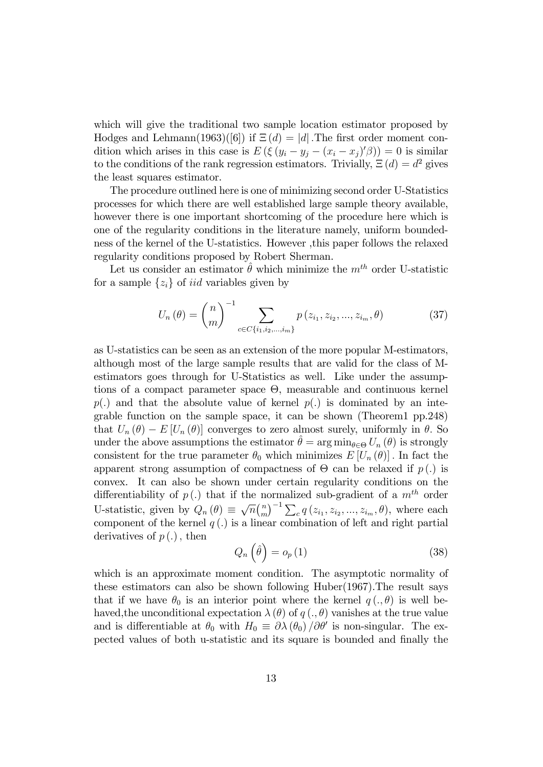which will give the traditional two sample location estimator proposed by Hodges and Lehmann(1963)([6]) if  $\Xi(d) = |d|$ . The first order moment condition which arises in this case is  $E\left(\xi\left(y_i-y_j-(x_i-x_j)'\beta\right)\right)=0$  is similar to the conditions of the rank regression estimators. Trivially,  $\Xi(d) = d^2$  gives the least squares estimator.

The procedure outlined here is one of minimizing second order U-Statistics processes for which there are well established large sample theory available, however there is one important shortcoming of the procedure here which is one of the regularity conditions in the literature namely, uniform boundedness of the kernel of the U-statistics. However ,this paper follows the relaxed regularity conditions proposed by Robert Sherman.

Let us consider an estimator  $\hat{\theta}$  which minimize the  $m^{th}$  order U-statistic for a sample  $\{z_i\}$  of *iid* variables given by

$$
U_n(\theta) = {n \choose m}^{-1} \sum_{c \in C\{i_1, i_2, \dots, i_m\}} p(z_{i_1}, z_{i_2}, \dots, z_{i_m}, \theta)
$$
 (37)

as U-statistics can be seen as an extension of the more popular M-estimators, although most of the large sample results that are valid for the class of Mestimators goes through for U-Statistics as well. Like under the assumptions of a compact parameter space  $\Theta$ , measurable and continuous kernel  $p(.)$  and that the absolute value of kernel  $p(.)$  is dominated by an integrable function on the sample space, it can be shown (Theorem1 pp.248) that  $U_n(\theta) - E[U_n(\theta)]$  converges to zero almost surely, uniformly in  $\theta$ . So under the above assumptions the estimator  $\hat{\theta} = \arg \min_{\theta \in \Theta} U_n (\theta)$  is strongly consistent for the true parameter  $\theta_0$  which minimizes  $E[U_n(\theta)]$ . In fact the apparent strong assumption of compactness of  $\Theta$  can be relaxed if  $p(.)$  is convex. It can also be shown under certain regularity conditions on the differentiability of  $p(.)$  that if the normalized sub-gradient of a  $m<sup>th</sup>$  order U-statistic, given by  $Q_n(\theta) \equiv \sqrt{n} {n \choose m}$  $\binom{n}{m}^{-1} \sum_{c} q(z_{i_1}, z_{i_2}, ..., z_{i_m}, \theta)$ , where each component of the kernel  $q(.)$  is a linear combination of left and right partial derivatives of  $p(.)$ , then

$$
Q_n\left(\hat{\theta}\right) = o_p\left(1\right) \tag{38}
$$

which is an approximate moment condition. The asymptotic normality of these estimators can also be shown following Huber(1967).The result says that if we have  $\theta_0$  is an interior point where the kernel  $q(.)\theta$  is well behaved, the unconditional expectation  $\lambda(\theta)$  of  $q(.)$ ,  $\theta$  vanishes at the true value and is differentiable at  $\theta_0$  with  $H_0 \equiv \partial \lambda (\theta_0) / \partial \theta'$  is non-singular. The expected values of both u-statistic and its square is bounded and finally the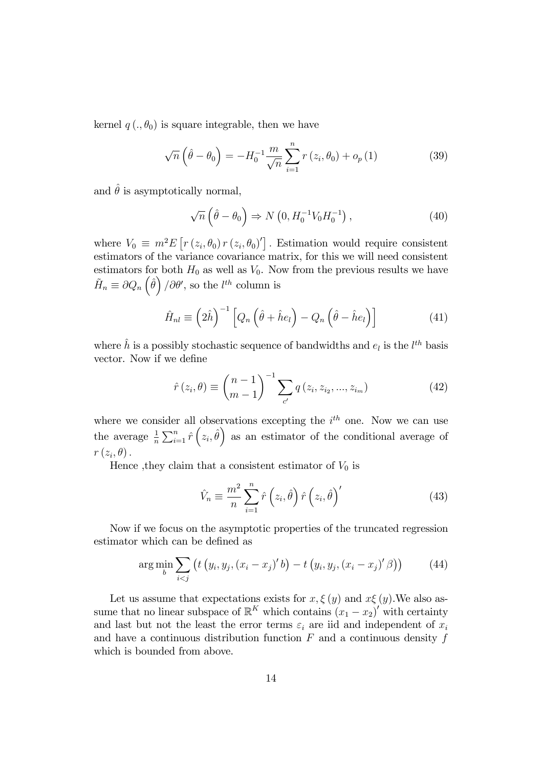kernel  $q(.,\theta_0)$  is square integrable, then we have

$$
\sqrt{n}\left(\hat{\theta} - \theta_0\right) = -H_0^{-1} \frac{m}{\sqrt{n}} \sum_{i=1}^n r\left(z_i, \theta_0\right) + o_p\left(1\right) \tag{39}
$$

and  $\hat{\theta}$  is asymptotically normal,

$$
\sqrt{n}\left(\hat{\theta} - \theta_0\right) \Rightarrow N\left(0, H_0^{-1} V_0 H_0^{-1}\right),\tag{40}
$$

where  $V_0 \equiv m^2 E \left[ r (z_i, \theta_0) r (z_i, \theta_0) \right]$ . Estimation would require consistent estimators of the variance covariance matrix, for this we will need consistent estimators for both  $H_0$  as well as  $V_0$ . Now from the previous results we have  $\tilde{H}_n \equiv \partial Q_n \left( \hat{\theta} \right) / \partial \theta'$ , so the  $l^{th}$  column is

$$
\hat{H}_{nl} \equiv \left(2\hat{h}\right)^{-1} \left[Q_n\left(\hat{\theta} + \hat{h}e_l\right) - Q_n\left(\hat{\theta} - \hat{h}e_l\right)\right]
$$
\n(41)

where  $\hat{h}$  is a possibly stochastic sequence of bandwidths and  $e_l$  is the  $l^{th}$  basis vector. Now if we define

$$
\hat{r}(z_i, \theta) \equiv {n-1 \choose m-1}^{-1} \sum_{c'} q(z_i, z_{i_2}, ..., z_{i_m})
$$
\n(42)

where we consider all observations excepting the  $i<sup>th</sup>$  one. Now we can use the average  $\frac{1}{n}\sum_{i=1}^n \hat{r}(z_i, \hat{\theta})$  as an estimator of the conditional average of  $r\left( z_{i},\theta\right) .$ 

Hence , they claim that a consistent estimator of  $V_0$  is

$$
\hat{V}_n \equiv \frac{m^2}{n} \sum_{i=1}^n \hat{r} \left( z_i, \hat{\theta} \right) \hat{r} \left( z_i, \hat{\theta} \right)'
$$
\n(43)

Now if we focus on the asymptotic properties of the truncated regression estimator which can be defined as

$$
\arg\min_{b} \sum_{i < j} \left( t \left( y_i, y_j, (x_i - x_j)' b \right) - t \left( y_i, y_j, (x_i - x_j)' \beta \right) \right) \tag{44}
$$

Let us assume that expectations exists for  $x, \xi(y)$  and  $x\xi(y)$ . We also assume that no linear subspace of  $\mathbb{R}^K$  which contains  $(x_1 - x_2)'$  with certainty and last but not the least the error terms  $\varepsilon_i$  are iid and independent of  $x_i$ and have a continuous distribution function  $F$  and a continuous density  $f$ which is bounded from above.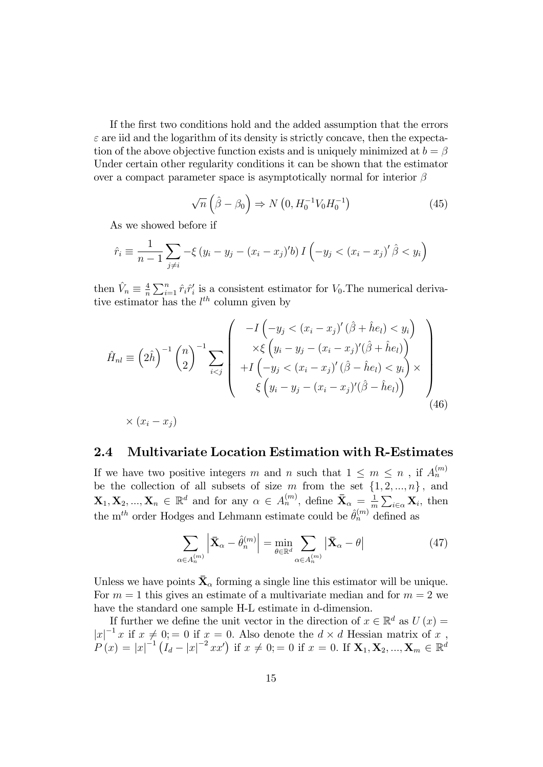If the Örst two conditions hold and the added assumption that the errors  $\varepsilon$  are iid and the logarithm of its density is strictly concave, then the expectation of the above objective function exists and is uniquely minimized at  $b = \beta$ Under certain other regularity conditions it can be shown that the estimator over a compact parameter space is asymptotically normal for interior  $\beta$ 

$$
\sqrt{n}\left(\hat{\beta}-\beta_0\right) \Rightarrow N\left(0, H_0^{-1}V_0H_0^{-1}\right) \tag{45}
$$

As we showed before if

$$
\hat{r}_i \equiv \frac{1}{n-1} \sum_{j \neq i} -\xi (y_i - y_j - (x_i - x_j)'b) I\left(-y_j < (x_i - x_j)'\hat{\beta} < y_i\right)
$$

then  $\hat{V}_n \equiv \frac{4}{n}$  $\frac{4}{n}\sum_{i=1}^n \hat{r}_i \hat{r}'_i$  is a consistent estimator for  $V_0$ . The numerical derivative estimator has the  $l^{th}$  column given by

$$
\hat{H}_{nl} \equiv \left(2\hat{h}\right)^{-1} \left(\begin{matrix}n\\2\end{matrix}\right)^{-1} \sum_{i < j} \left(\begin{matrix}\n-I\left(-y_j < (x_i - x_j)'\left(\hat{\beta} + \hat{h}e_l\right) < y_i\right) \\
\times \xi\left(y_i - y_j - (x_i - x_j)'\left(\hat{\beta} + \hat{h}e_l\right)\right) \\
+ I\left(-y_j < (x_i - x_j)'\left(\hat{\beta} - \hat{h}e_l\right) < y_i\right) \times \\
\xi\left(y_i - y_j - (x_i - x_j)'\left(\hat{\beta} - \hat{h}e_l\right)\right)\n\end{matrix}\right) \times (x_i - x_j) \tag{46}
$$

#### 2.4 Multivariate Location Estimation with R-Estimates

If we have two positive integers m and n such that  $1 \leq m \leq n$ , if  $A_n^{(m)}$ be the collection of all subsets of size m from the set  $\{1, 2, ..., n\}$ , and  $\mathbf{X}_1, \mathbf{X}_2, ..., \mathbf{X}_n \in \mathbb{R}^d$  and for any  $\alpha \in A_n^{(m)}$ , define  $\bar{\mathbf{X}}_{\alpha} = \frac{1}{n}$  $\frac{1}{m} \sum_{i \in \alpha} \mathbf{X}_i$ , then the  $\mathbf{m}^{th}$  order Hodges and Lehmann estimate could be  $\hat{\theta}_n^{(m)}$  defined as

$$
\sum_{\alpha \in A_n^{(m)}} \left| \bar{\mathbf{X}}_{\alpha} - \hat{\theta}_n^{(m)} \right| = \min_{\theta \in \mathbb{R}^d} \sum_{\alpha \in A_n^{(m)}} \left| \bar{\mathbf{X}}_{\alpha} - \theta \right| \tag{47}
$$

Unless we have points  $\bar{\mathbf{X}}_{\alpha}$  forming a single line this estimator will be unique. For  $m = 1$  this gives an estimate of a multivariate median and for  $m = 2$  we have the standard one sample H-L estimate in d-dimension.

If further we define the unit vector in the direction of  $x \in \mathbb{R}^d$  as  $U(x) =$  $|x|^{-1}x$  if  $x \neq 0, y = 0$  if  $x = 0$ . Also denote the  $d \times d$  Hessian matrix of x,  $P(x) = |x|^{-1} (I_d - |x|^{-2} x x')$  if  $x \neq 0; = 0$  if  $x = 0$ . If  $\mathbf{X}_1, \mathbf{X}_2, ..., \mathbf{X}_m \in \mathbb{R}^d$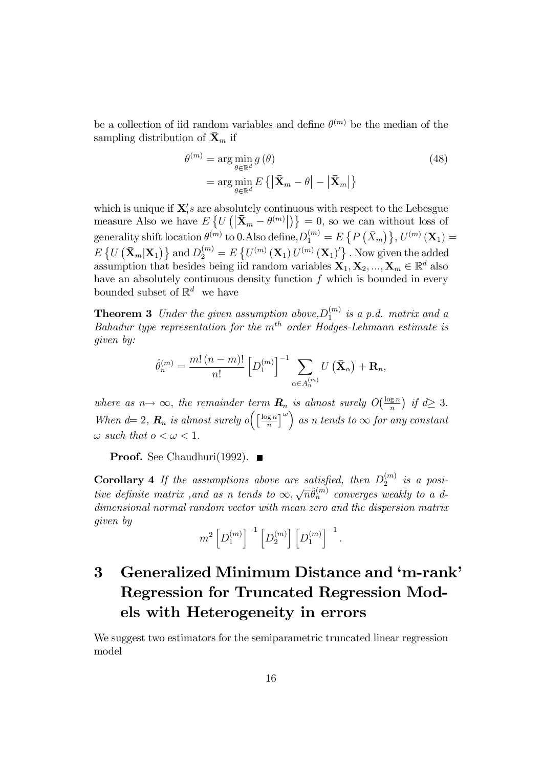be a collection of iid random variables and define  $\theta^{(m)}$  be the median of the sampling distribution of  $\bar{\mathbf{X}}_m$  if

$$
\theta^{(m)} = \underset{\theta \in \mathbb{R}^d}{\arg \min} g(\theta)
$$
\n
$$
= \underset{\theta \in \mathbb{R}^d}{\arg \min} E\left\{ \left| \bar{\mathbf{X}}_m - \theta \right| - \left| \bar{\mathbf{X}}_m \right| \right\}
$$
\n(48)

which is unique if  $\mathbf{X}'_i$ s are absolutely continuous with respect to the Lebesgue measure Also we have  $E\left\{U\left(\left|\mathbf{\bar{X}}_m - \theta^{(m)}\right|\right)\right\} = 0$ , so we can without loss of generality shift location  $\theta^{(m)}$  to  $0.$  Also define,  $D_1^{(m)}=E\left\{P\left(\bar{X}_m\right)\right\}, U^{(m)}\left(\mathbf{X}_1\right)=$  $E\left\{U\left(\mathbf{\bar{X}}_m|\mathbf{X}_1\right)\right\}$  and  $D_2^{(m)}=E\left\{U^{(m)}\left(\mathbf{X}_1\right)U^{(m)}\left(\mathbf{X}_1\right)'\right\}$ . Now given the added assumption that besides being iid random variables  $\mathbf{X}_1, \mathbf{X}_2, ..., \mathbf{X}_m \in \mathbb{R}^d$  also have an absolutely continuous density function  $f$  which is bounded in every bounded subset of  $\mathbb{R}^d$  we have

**Theorem 3** Under the given assumption above,  $D_1^{(m)}$  $\binom{m}{1}$  is a p.d. matrix and a  $Bahadur$  type representation for the  $m<sup>th</sup>$  order Hodges-Lehmann estimate is given by:

$$
\hat{\theta}_n^{(m)} = \frac{m! (n-m)!}{n!} \left[ D_1^{(m)} \right]^{-1} \sum_{\alpha \in A_n^{(m)}} U\left(\mathbf{\bar{X}}_{\alpha}\right) + \mathbf{R}_n,
$$

where as  $n \rightarrow \infty$ , the remainder term  $\mathbf{R}_n$  is almost surely  $O(\frac{\log n}{n})$  $\frac{\log n}{n}$  if  $d \geq 3$ . When  $d=2$ ,  $\mathbf{R}_n$  is almost surely o $\left(\begin{array}{c} \log n \\ n \end{array}\right)$  $\left(\frac{\mathbf{g} n}{n}\right)^{\omega}$  as n tends to  $\infty$  for any constant  $\omega$  such that  $o < \omega < 1$ .

**Proof.** See Chaudhuri(1992).  $\blacksquare$ 

**Corollary 4** If the assumptions above are satisfied, then  $D_2^{(m)}$  $i_2^{(m)}$  is a positive definite matrix, and as n tends to  $\infty, \sqrt{n}\hat{\theta}_n^{(m)}$  converges weakly to a ddimensional normal random vector with mean zero and the dispersion matrix given by

$$
m^2\left[D_1^{(m)}\right]^{-1}\left[D_2^{(m)}\right]\left[D_1^{(m)}\right]^{-1}.
$$

## 3 Generalized Minimum Distance and 'm-rank' Regression for Truncated Regression Models with Heterogeneity in errors

We suggest two estimators for the semiparametric truncated linear regression model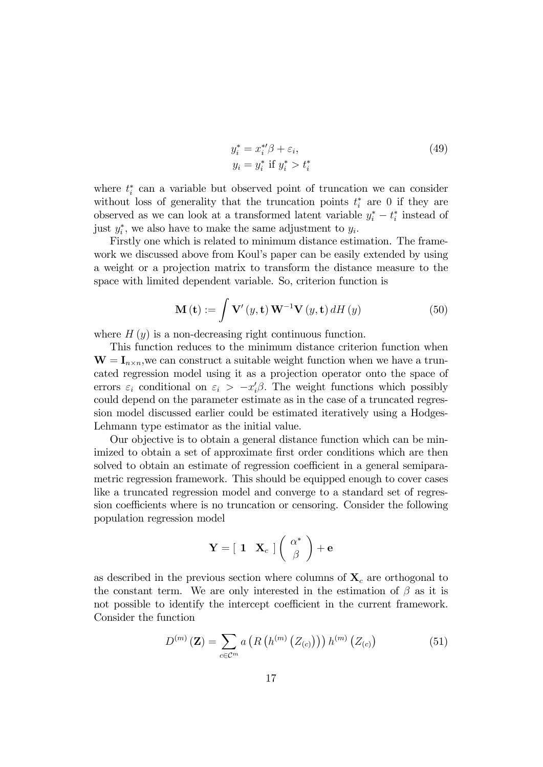$$
y_i^* = x_i^{*\prime} \beta + \varepsilon_i,
$$
  
\n
$$
y_i = y_i^* \text{ if } y_i^* > t_i^*
$$
\n(49)

where  $t_i^*$  can a variable but observed point of truncation we can consider without loss of generality that the truncation points  $t_i^*$  are 0 if they are observed as we can look at a transformed latent variable  $y_i^* - t_i^*$  instead of just  $y_i^*$ , we also have to make the same adjustment to  $y_i$ .

Firstly one which is related to minimum distance estimation. The framework we discussed above from Koul's paper can be easily extended by using a weight or a projection matrix to transform the distance measure to the space with limited dependent variable. So, criterion function is

$$
\mathbf{M}\left(\mathbf{t}\right) := \int \mathbf{V}'\left(y, \mathbf{t}\right) \mathbf{W}^{-1} \mathbf{V}\left(y, \mathbf{t}\right) dH\left(y\right) \tag{50}
$$

where  $H(y)$  is a non-decreasing right continuous function.

This function reduces to the minimum distance criterion function when  $\mathbf{W} = \mathbf{I}_{n \times n}$ , we can construct a suitable weight function when we have a truncated regression model using it as a projection operator onto the space of errors  $\varepsilon_i$  conditional on  $\varepsilon_i > -x_i'\beta$ . The weight functions which possibly could depend on the parameter estimate as in the case of a truncated regression model discussed earlier could be estimated iteratively using a Hodges-Lehmann type estimator as the initial value.

Our objective is to obtain a general distance function which can be minimized to obtain a set of approximate first order conditions which are then solved to obtain an estimate of regression coefficient in a general semiparametric regression framework. This should be equipped enough to cover cases like a truncated regression model and converge to a standard set of regression coefficients where is no truncation or censoring. Consider the following population regression model

$$
\mathbf{Y} = \left[ \begin{array}{cc} \mathbf{1} & \mathbf{X}_c \end{array} \right] \left( \begin{array}{c} \alpha^* \\ \beta \end{array} \right) + \mathbf{e}
$$

as described in the previous section where columns of  $\mathbf{X}_c$  are orthogonal to the constant term. We are only interested in the estimation of  $\beta$  as it is not possible to identify the intercept coefficient in the current framework. Consider the function

$$
D^{(m)}\left(\mathbf{Z}\right) = \sum_{c \in \mathcal{C}^m} a\left(R\left(h^{(m)}\left(Z_{(c)}\right)\right)\right) h^{(m)}\left(Z_{(c)}\right) \tag{51}
$$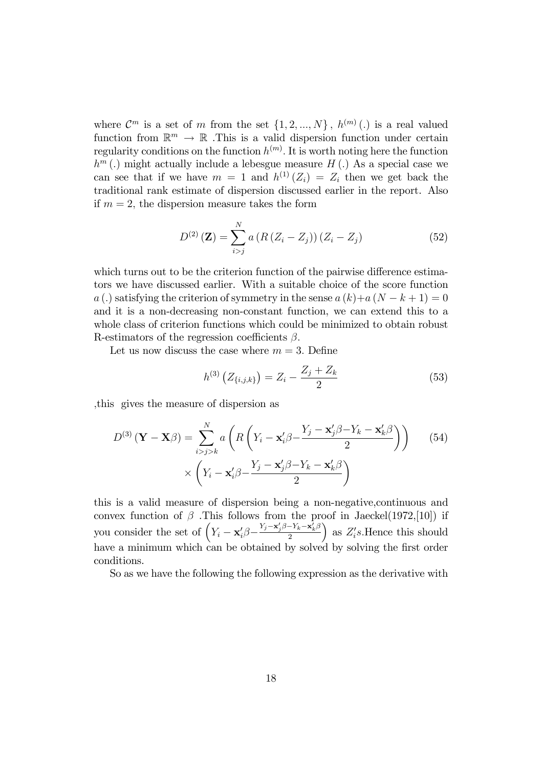where  $\mathcal{C}^m$  is a set of m from the set  $\{1, 2, ..., N\}$ ,  $h^{(m)}(.)$  is a real valued function from  $\mathbb{R}^m \to \mathbb{R}$ . This is a valid dispersion function under certain regularity conditions on the function  $h^{(m)}$ . It is worth noting here the function  $h^m(.)$  might actually include a lebesgue measure  $H(.)$  As a special case we can see that if we have  $m = 1$  and  $h^{(1)}(Z_i) = Z_i$  then we get back the traditional rank estimate of dispersion discussed earlier in the report. Also if  $m = 2$ , the dispersion measure takes the form

$$
D^{(2)}\left(\mathbf{Z}\right) = \sum_{i>j}^{N} a\left(R\left(Z_i - Z_j\right)\right)\left(Z_i - Z_j\right) \tag{52}
$$

which turns out to be the criterion function of the pairwise difference estimators we have discussed earlier. With a suitable choice of the score function a (.) satisfying the criterion of symmetry in the sense  $a(k)+a(N-k+1)=0$ and it is a non-decreasing non-constant function, we can extend this to a whole class of criterion functions which could be minimized to obtain robust R-estimators of the regression coefficients  $\beta$ .

Let us now discuss the case where  $m = 3$ . Define

$$
h^{(3)}\left(Z_{\{i,j,k\}}\right) = Z_i - \frac{Z_j + Z_k}{2} \tag{53}
$$

;this gives the measure of dispersion as

$$
D^{(3)}\left(\mathbf{Y} - \mathbf{X}\boldsymbol{\beta}\right) = \sum_{i>j>k}^{N} a\left(R\left(Y_i - \mathbf{x}_i'\boldsymbol{\beta} - \frac{Y_j - \mathbf{x}_j'\boldsymbol{\beta} - Y_k - \mathbf{x}_k'\boldsymbol{\beta}}{2}\right)\right) \quad (54)
$$

$$
\times \left(Y_i - \mathbf{x}_i'\boldsymbol{\beta} - \frac{Y_j - \mathbf{x}_j'\boldsymbol{\beta} - Y_k - \mathbf{x}_k'\boldsymbol{\beta}}{2}\right)
$$

this is a valid measure of dispersion being a non-negative,continuous and convex function of  $\beta$  . This follows from the proof in Jaeckel(1972,[10]) if you consider the set of  $\left(Y_i - \mathbf{x}_i' \beta - \frac{Y_j - \mathbf{x}_j' \beta - Y_k - \mathbf{x}_k' \beta}{2}\right)$ 2  $\Big)$  as  $Z_i$ 's. Hence this should have a minimum which can be obtained by solved by solving the first order conditions.

So as we have the following the following expression as the derivative with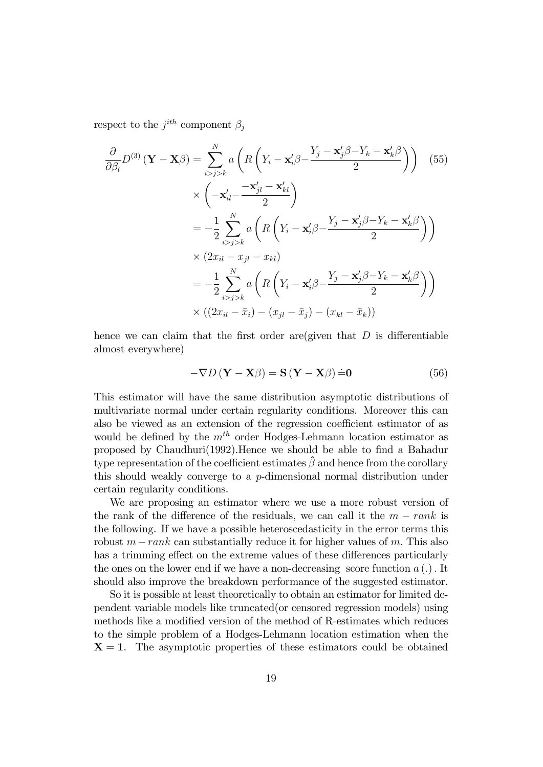respect to the  $j^{ith}$  component  $\beta_j$ 

$$
\frac{\partial}{\partial \beta_l} D^{(3)} (\mathbf{Y} - \mathbf{X} \beta) = \sum_{i>j>k}^{N} a \left( R \left( Y_i - \mathbf{x}_i' \beta - \frac{Y_j - \mathbf{x}_j' \beta - Y_k - \mathbf{x}_k' \beta}{2} \right) \right) \tag{55}
$$
\n
$$
\times \left( -\mathbf{x}_{il}' - \frac{-\mathbf{x}_{jl}' - \mathbf{x}_{kl}'}{2} \right)
$$
\n
$$
= -\frac{1}{2} \sum_{i>j>k}^{N} a \left( R \left( Y_i - \mathbf{x}_i' \beta - \frac{Y_j - \mathbf{x}_j' \beta - Y_k - \mathbf{x}_k' \beta}{2} \right) \right)
$$
\n
$$
\times (2x_{il} - x_{jl} - x_{kl})
$$
\n
$$
= -\frac{1}{2} \sum_{i>j>k}^{N} a \left( R \left( Y_i - \mathbf{x}_i' \beta - \frac{Y_j - \mathbf{x}_j' \beta - Y_k - \mathbf{x}_k' \beta}{2} \right) \right)
$$
\n
$$
\times ((2x_{il} - \bar{x}_i) - (x_{jl} - \bar{x}_j) - (x_{kl} - \bar{x}_k))
$$

hence we can claim that the first order are given that  $D$  is differentiable almost everywhere)

$$
-\nabla D\left(\mathbf{Y} - \mathbf{X}\beta\right) = \mathbf{S}\left(\mathbf{Y} - \mathbf{X}\beta\right) \dot{=} \mathbf{0}
$$
 (56)

This estimator will have the same distribution asymptotic distributions of multivariate normal under certain regularity conditions. Moreover this can also be viewed as an extension of the regression coefficient estimator of as would be defined by the  $m^{th}$  order Hodges-Lehmann location estimator as proposed by Chaudhuri(1992). Hence we should be able to find a Bahadur type representation of the coefficient estimates  $\hat{\beta}$  and hence from the corollary this should weakly converge to a p-dimensional normal distribution under certain regularity conditions.

We are proposing an estimator where we use a more robust version of the rank of the difference of the residuals, we can call it the  $m - rank$  is the following. If we have a possible heteroscedasticity in the error terms this robust  $m-rank$  can substantially reduce it for higher values of m. This also has a trimming effect on the extreme values of these differences particularly the ones on the lower end if we have a non-decreasing score function  $a(.)$ . It should also improve the breakdown performance of the suggested estimator.

So it is possible at least theoretically to obtain an estimator for limited dependent variable models like truncated(or censored regression models) using methods like a modified version of the method of R-estimates which reduces to the simple problem of a Hodges-Lehmann location estimation when the  $X = 1$ . The asymptotic properties of these estimators could be obtained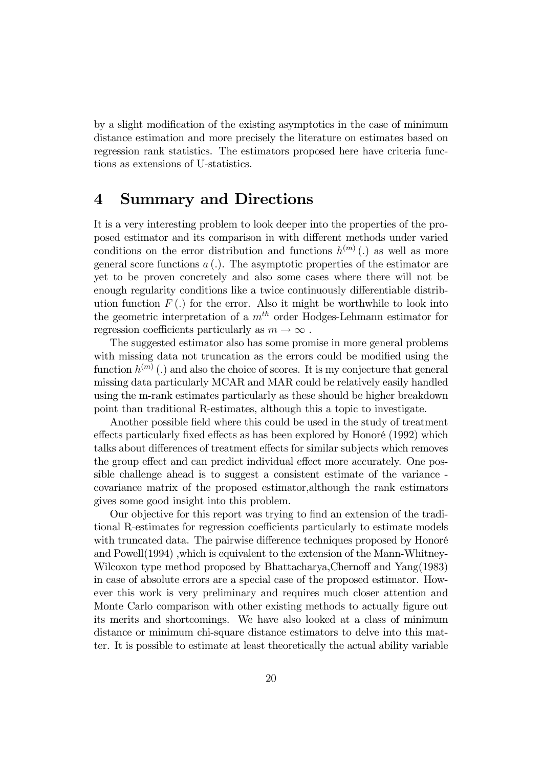by a slight modification of the existing asymptotics in the case of minimum distance estimation and more precisely the literature on estimates based on regression rank statistics. The estimators proposed here have criteria functions as extensions of U-statistics.

### 4 Summary and Directions

It is a very interesting problem to look deeper into the properties of the proposed estimator and its comparison in with different methods under varied conditions on the error distribution and functions  $h^{(m)}(.)$  as well as more general score functions  $a(.)$ . The asymptotic properties of the estimator are yet to be proven concretely and also some cases where there will not be enough regularity conditions like a twice continuously differentiable distribution function  $F(.)$  for the error. Also it might be worthwhile to look into the geometric interpretation of a  $m<sup>th</sup>$  order Hodges-Lehmann estimator for regression coefficients particularly as  $m \to \infty$ .

The suggested estimator also has some promise in more general problems with missing data not truncation as the errors could be modified using the function  $h^{(m)}$  (.) and also the choice of scores. It is my conjecture that general missing data particularly MCAR and MAR could be relatively easily handled using the m-rank estimates particularly as these should be higher breakdown point than traditional R-estimates, although this a topic to investigate.

Another possible field where this could be used in the study of treatment effects particularly fixed effects as has been explored by Honoré (1992) which talks about differences of treatment effects for similar subjects which removes the group effect and can predict individual effect more accurately. One possible challenge ahead is to suggest a consistent estimate of the variance covariance matrix of the proposed estimator,although the rank estimators gives some good insight into this problem.

Our objective for this report was trying to find an extension of the traditional R-estimates for regression coefficients particularly to estimate models with truncated data. The pairwise difference techniques proposed by Honoré and Powell(1994) ,which is equivalent to the extension of the Mann-Whitney-Wilcoxon type method proposed by Bhattacharya, Chernoff and Yang(1983) in case of absolute errors are a special case of the proposed estimator. However this work is very preliminary and requires much closer attention and Monte Carlo comparison with other existing methods to actually figure out its merits and shortcomings. We have also looked at a class of minimum distance or minimum chi-square distance estimators to delve into this matter. It is possible to estimate at least theoretically the actual ability variable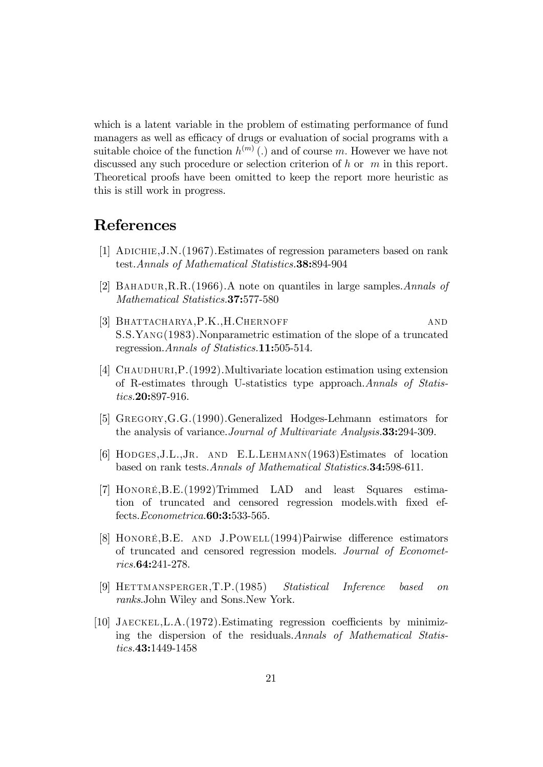which is a latent variable in the problem of estimating performance of fund managers as well as efficacy of drugs or evaluation of social programs with a suitable choice of the function  $h^{(m)}(.)$  and of course m. However we have not discussed any such procedure or selection criterion of h or m in this report. Theoretical proofs have been omitted to keep the report more heuristic as this is still work in progress.

### References

- [1] Adichie,J.N.(1967).Estimates of regression parameters based on rank test.Annals of Mathematical Statistics.38:894-904
- [2] Bahadur,R.R.(1966).A note on quantiles in large samples.Annals of Mathematical Statistics.37:577-580
- [3] BHATTACHARYA, P.K., H.CHERNOFF AND S.S.Yang(1983).Nonparametric estimation of the slope of a truncated regression. Annals of Statistics. **11:**505-514.
- [4] CHAUDHURI, P. (1992). Multivariate location estimation using extension of R-estimates through U-statistics type approach.Annals of Statistics.20:897-916.
- [5] Gregory,G.G.(1990).Generalized Hodges-Lehmann estimators for the analysis of variance.Journal of Multivariate Analysis.33:294-309.
- [6] Hodges,J.L.,Jr. and E.L.Lehmann(1963)Estimates of location based on rank tests.Annals of Mathematical Statistics.34:598-611.
- [7] HonorÈ,B.E.(1992)Trimmed LAD and least Squares estimation of truncated and censored regression models with fixed effects.Econometrica.60:3:533-565.
- [8] HONORÉ, B.E. AND J.POWELL (1994) Pairwise difference estimators of truncated and censored regression models. Journal of Econometrics.64:241-278.
- [9] Hettmansperger,T.P.(1985) Statistical Inference based on ranks.John Wiley and Sons.New York.
- [10] JAECKEL, L.A.  $(1972)$ . Estimating regression coefficients by minimizing the dispersion of the residuals.Annals of Mathematical Statistics.43:1449-1458